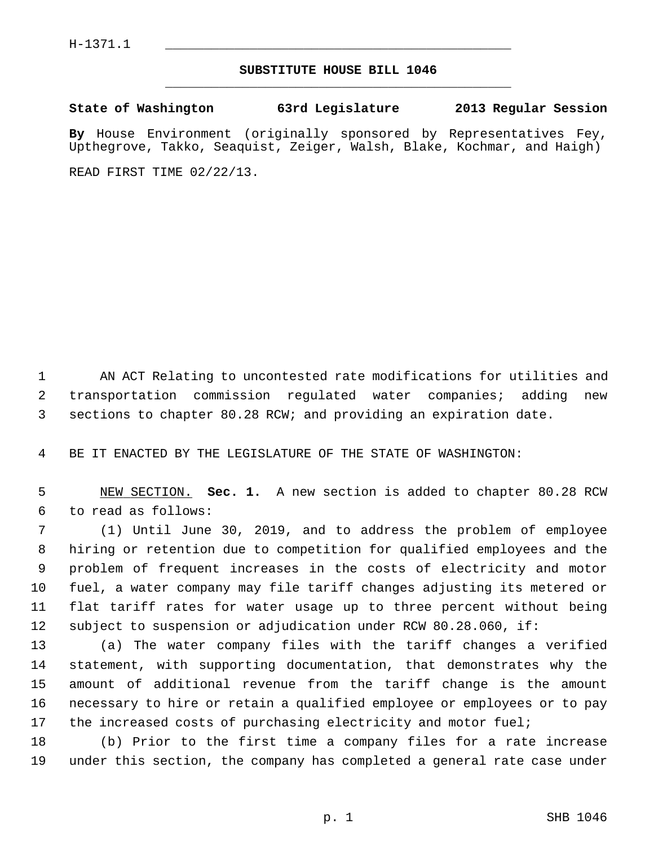## **SUBSTITUTE HOUSE BILL 1046** \_\_\_\_\_\_\_\_\_\_\_\_\_\_\_\_\_\_\_\_\_\_\_\_\_\_\_\_\_\_\_\_\_\_\_\_\_\_\_\_\_\_\_\_\_

**State of Washington 63rd Legislature 2013 Regular Session**

**By** House Environment (originally sponsored by Representatives Fey, Upthegrove, Takko, Seaquist, Zeiger, Walsh, Blake, Kochmar, and Haigh)

READ FIRST TIME 02/22/13.

 1 AN ACT Relating to uncontested rate modifications for utilities and 2 transportation commission regulated water companies; adding new 3 sections to chapter 80.28 RCW; and providing an expiration date.

4 BE IT ENACTED BY THE LEGISLATURE OF THE STATE OF WASHINGTON:

 5 NEW SECTION. **Sec. 1.** A new section is added to chapter 80.28 RCW 6 to read as follows:

 7 (1) Until June 30, 2019, and to address the problem of employee 8 hiring or retention due to competition for qualified employees and the 9 problem of frequent increases in the costs of electricity and motor 10 fuel, a water company may file tariff changes adjusting its metered or 11 flat tariff rates for water usage up to three percent without being 12 subject to suspension or adjudication under RCW 80.28.060, if:

13 (a) The water company files with the tariff changes a verified 14 statement, with supporting documentation, that demonstrates why the 15 amount of additional revenue from the tariff change is the amount 16 necessary to hire or retain a qualified employee or employees or to pay 17 the increased costs of purchasing electricity and motor fuel;

18 (b) Prior to the first time a company files for a rate increase 19 under this section, the company has completed a general rate case under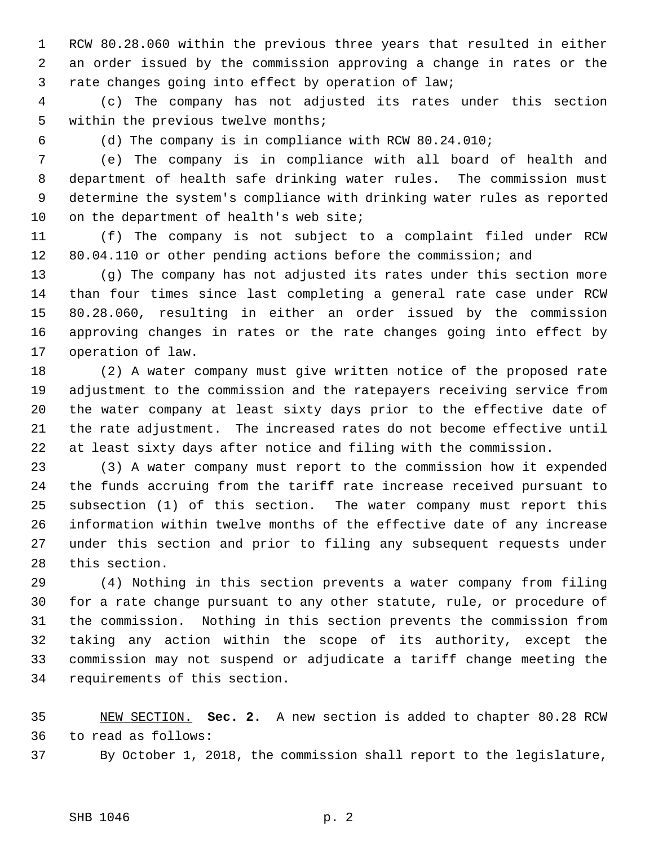1 RCW 80.28.060 within the previous three years that resulted in either 2 an order issued by the commission approving a change in rates or the 3 rate changes going into effect by operation of law;

 4 (c) The company has not adjusted its rates under this section 5 within the previous twelve months;

6 (d) The company is in compliance with RCW 80.24.010;

 7 (e) The company is in compliance with all board of health and 8 department of health safe drinking water rules. The commission must 9 determine the system's compliance with drinking water rules as reported 10 on the department of health's web site;

11 (f) The company is not subject to a complaint filed under RCW 12 80.04.110 or other pending actions before the commission; and

13 (g) The company has not adjusted its rates under this section more 14 than four times since last completing a general rate case under RCW 15 80.28.060, resulting in either an order issued by the commission 16 approving changes in rates or the rate changes going into effect by 17 operation of law.

18 (2) A water company must give written notice of the proposed rate 19 adjustment to the commission and the ratepayers receiving service from 20 the water company at least sixty days prior to the effective date of 21 the rate adjustment. The increased rates do not become effective until 22 at least sixty days after notice and filing with the commission.

23 (3) A water company must report to the commission how it expended 24 the funds accruing from the tariff rate increase received pursuant to 25 subsection (1) of this section. The water company must report this 26 information within twelve months of the effective date of any increase 27 under this section and prior to filing any subsequent requests under 28 this section.

29 (4) Nothing in this section prevents a water company from filing 30 for a rate change pursuant to any other statute, rule, or procedure of 31 the commission. Nothing in this section prevents the commission from 32 taking any action within the scope of its authority, except the 33 commission may not suspend or adjudicate a tariff change meeting the 34 requirements of this section.

35 NEW SECTION. **Sec. 2.** A new section is added to chapter 80.28 RCW 36 to read as follows:

37 By October 1, 2018, the commission shall report to the legislature,